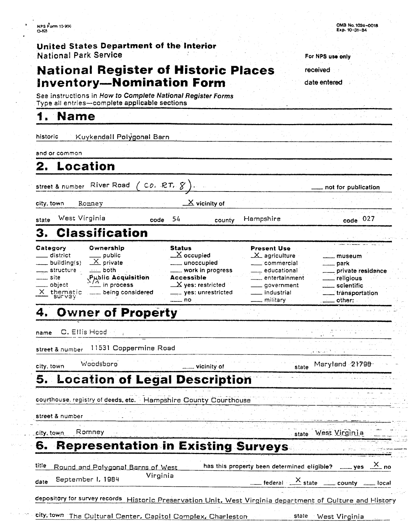### **United States Department of the Interior National Park Service**

# **National Register of Historic Places** received **Inventory-Nomination Form**

**See** instructions in **How to Complete** *National Register Forms*  Type **all entries-complete applicable sections** 

#### **Name** 1

historic Kuykendall Polygonal Barn

| Location<br>2.                                                                                                                                                                                                                                       |                                                                                                                                                                                        |                                                                                                                                                                        |                                                                                                                                                       |
|------------------------------------------------------------------------------------------------------------------------------------------------------------------------------------------------------------------------------------------------------|----------------------------------------------------------------------------------------------------------------------------------------------------------------------------------------|------------------------------------------------------------------------------------------------------------------------------------------------------------------------|-------------------------------------------------------------------------------------------------------------------------------------------------------|
| River Road<br>street & number                                                                                                                                                                                                                        | $^{\prime}$ co. RT. $8^{\prime}$                                                                                                                                                       |                                                                                                                                                                        | not for publication                                                                                                                                   |
| city.town<br>Romney                                                                                                                                                                                                                                  | $\underline{\mathsf{X}}$ vicinity of                                                                                                                                                   |                                                                                                                                                                        |                                                                                                                                                       |
| West Virginia<br>state                                                                                                                                                                                                                               | 54<br>code<br>county.                                                                                                                                                                  | Hampshire                                                                                                                                                              | $code$ 027                                                                                                                                            |
| <b>Classification</b><br>З.                                                                                                                                                                                                                          |                                                                                                                                                                                        |                                                                                                                                                                        |                                                                                                                                                       |
| Category<br>Ownership<br>district<br>public<br>$\underline{\times}$ private<br>_ building(s)<br>$\equiv$ both<br>structure<br><b>Public Acquisition</b><br>_ site<br>$\frac{A}{A}$ in process<br>object<br>$\times$ thematic<br>___ being considered | <b>Status</b><br>$\mathbb X$ occupied<br>__ unoccupied<br>_ work in progress<br><b>Accessible</b><br>$\mathbf{\underline{\quad} X}$ yes: restricted<br>___ yes: unrestricted<br>$=$ no | <b>Present Use</b><br>$\pm \mathsf{X}_\mathsf{L}$ agriculture<br>___ commercial<br>__ educational<br>entertainment<br>____ government<br>__ industrial<br>—— military⊦ | museum<br><sub>—</sub> park<br>private residence<br>$\_$ religious<br><u>__</u> __scientific<br><sub>—</sub> transportation<br>$\rule{1em}{0}$ other: |
| <b>Owner of Property</b><br>4.                                                                                                                                                                                                                       |                                                                                                                                                                                        |                                                                                                                                                                        |                                                                                                                                                       |
| C. Ellis Hood<br>name                                                                                                                                                                                                                                |                                                                                                                                                                                        |                                                                                                                                                                        |                                                                                                                                                       |
| 11531 Coppermine Road<br><b>street &amp; nu</b> mber                                                                                                                                                                                                 |                                                                                                                                                                                        |                                                                                                                                                                        |                                                                                                                                                       |
| Woodsboro<br>city, town                                                                                                                                                                                                                              | vicinity of                                                                                                                                                                            | state                                                                                                                                                                  | Maryland 21798                                                                                                                                        |
| 5. Location of Legal Description                                                                                                                                                                                                                     |                                                                                                                                                                                        |                                                                                                                                                                        |                                                                                                                                                       |
| courthouse, registry of deeds, etc. Hampshire County Courthouse                                                                                                                                                                                      |                                                                                                                                                                                        |                                                                                                                                                                        |                                                                                                                                                       |
| <b>street &amp; number</b>                                                                                                                                                                                                                           |                                                                                                                                                                                        |                                                                                                                                                                        |                                                                                                                                                       |
| Romney<br>city, town                                                                                                                                                                                                                                 |                                                                                                                                                                                        | state                                                                                                                                                                  | West Virginia                                                                                                                                         |
| <b>Representation in Existing Surveys</b><br>6.                                                                                                                                                                                                      |                                                                                                                                                                                        |                                                                                                                                                                        |                                                                                                                                                       |
| title<br>Round and Polygonal Barns of West<br>September 1, 1984<br>date                                                                                                                                                                              | Virginia                                                                                                                                                                               | has this property been determined eligible?                                                                                                                            | $\frac{X}{1}$ yes $\frac{X}{1}$ no<br>$\frac{X}{1}$ federal $\frac{X}{1}$ state $\frac{X}{1}$ county $\frac{X}{1}$ local                              |
| depository for survey records Historic Preservation Unit. West Virginia department of Culture and History                                                                                                                                            |                                                                                                                                                                                        |                                                                                                                                                                        |                                                                                                                                                       |
| city, town The Cultural Center, Capitol Complex, Charleston                                                                                                                                                                                          |                                                                                                                                                                                        |                                                                                                                                                                        | state West Virginia                                                                                                                                   |

For NPS use **only** 

**date entered** 

| date September I, 1984                                                                                   | Virginia |  | $\frac{X}{1}$ federal $\frac{X}{1}$ state $\frac{X}{1}$ county $\frac{X}{1}$ local |
|----------------------------------------------------------------------------------------------------------|----------|--|------------------------------------------------------------------------------------|
|                                                                                                          |          |  |                                                                                    |
| depository for survey records Historic Preservation Unit. West Virginia department of Culture and Histor |          |  |                                                                                    |
|                                                                                                          |          |  |                                                                                    |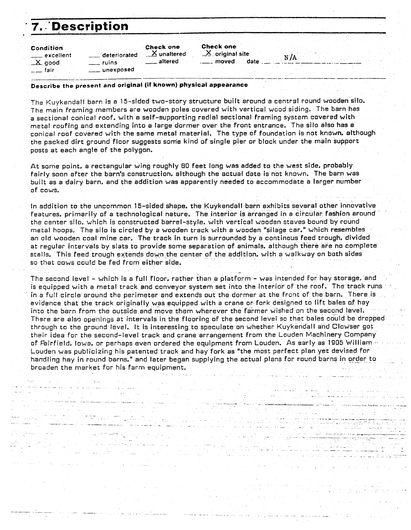itina di San<br>Sempanya

| <b>7. Description</b>                |                                                                |                                              |                                                         |     |  |
|--------------------------------------|----------------------------------------------------------------|----------------------------------------------|---------------------------------------------------------|-----|--|
| Condition<br>excellent<br>$\_X$ good | _deteriorated<br>ruins.                                        | <b>Check one</b><br>$X$ unaltered<br>altered | <b>Check one</b><br>$X$ original site<br>date<br>moved. | N/A |  |
| ⊥ ⊥ fair                             | $\_$ unexposed                                                 |                                              |                                                         |     |  |
|                                      | Because the procent and original (if known) physical apparance |                                              |                                                         |     |  |

- طأيامية ال

.<br>. . . . . . .

#### **Describe the present and original (if known) physical appearance**

The Kuykendall barn is a 15-sided two-story structure built around a central round wooden silo. The main framing members are wooden poles covered with vertical wood siding. The barn has a sectional conical roof, with a self-supporting radial sectional framing system covered with metal roofing and extending into a large dormer over the front entrance. The silo also has a conical roof covered with the same metal material. The type of foundation is not known, atthough the packed dirt ground floor suggests some kind of single pier or block under the main support posts at each angle of the polygon.

At some point. a rectangular wing roughly **80** feet long was added to the west side, probably fairly soon after the barn's construction. although the actual date is not known. The barn was built as a dairy barn. and the addition was apparently needed to accommodate a larger number of cows.

In addition to the uncommon 15-sided shape, the Kuykendall barn exhibits several other innovative features. primarily of a technological nature. The interior is arranged in a circular fashion around the center silo, which is constructed barrel-style, with vertical wooden staves bound by round metal hoops. The silo is circled by a wooden track with a wooden "silage car," which resembles an old wooden coal mine car. The track in turn is surrounded by a continous feed trough. divided at regular intervals by slats to provide some separation of animals. although there are no complete stalls. This feed trough extends downthe center of the addition, with a walkway on both sides so that cows could be fed from either side. -

The second level - which is a full floor, rather than a platform-- was intended for hay storage. and is equipped with a metal track and conveyor system set into the interior of the rooF. The track runs in a full circle around the perimeter and extends out the dormer at the front of the barn. There is evidence that the track originally was equipped with a crane or fork designed to lift bales of hay into the barn from the outside and move them wherever the farmer wished on the second level. Thsre are alsg openings at intervals in the flooring of the second levei so that bales could be dropped through to the ground level. It is interesting to speculate on whether Kuykendall and Clowser got their idea for the second-level track and crane arrangement from the Louden Machinery Company of Fairfield, Iowa, or perhaps even ordered the equipment from Louden. As early as 1905 William -Louden was publicizing his patented track and hay fork as "the most perfect plan yet devised for handling hay in round barns." and later began supplying the actual plans for round barns in order to broaden the market for his farm equipment.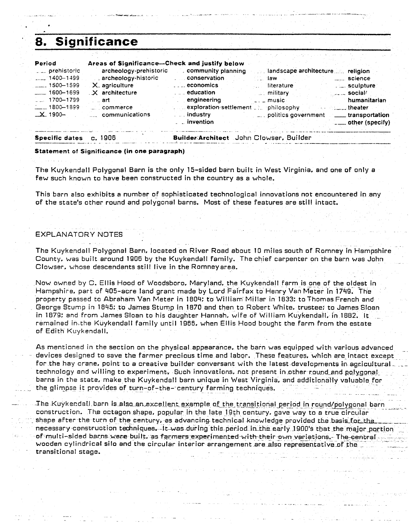# **8. Significance**

| Period                    | Areas of Significance-Check and justify below |                                           |                                     |                               |
|---------------------------|-----------------------------------------------|-------------------------------------------|-------------------------------------|-------------------------------|
| prehistoric               |                                               | archeology-prehistoric community planning | landscape architecture religion     |                               |
| $1400 - 1499$             | archeology-historic                           | conservation                              | law                                 | science                       |
| $\frac{1}{2}$ 1500 – 1599 | X. agriculture                                | $\ldots$ economics                        | literature                          | sculpture                     |
| $- 1600 - 1699$           | X architecture                                | $\ldots$ education                        | military                            | <sub>anda</sub> social/       |
| 1700-1799                 | — art                                         | engineering                               | . music                             | humanitarian                  |
| $-1800 - 1899$            | commerce                                      | exploration settlement                    | philosophy                          | $\ldots$ theater              |
| $\_X$ 1900-               | communications                                | industry                                  | politics government  transportation |                               |
|                           |                                               | $\overline{\phantom{a}}$ invention        |                                     | $\frac{1}{1}$ other (specify) |
|                           |                                               |                                           |                                     |                               |

Specific dates c. 1906

Builder Architect John Clowser, Builder

#### Statement of Significance (in one paragraph)

The Kuykendall Polygonal Barn is the only 15-sided barn built in West Virginia, and one of only a few such known to have been constructed in the country as a whole.

This barn also exhibits **a** number of sophisticated technological innovations not encountered in any of the state's other round and polygonal barns. Most of these features are still intact.

#### EXPLANATORY NOTES

The Kuykendall Polygonal Barn, located on River Road about 10 miles south of Romney in Hampshire County. was built around 1906 by the Kuykendall family. The chief carpenter on the barn was John Clowser. whose descendants still live in the Romneyarea.

Now owned by C. Ellis Hood of Woodsboro, Maryland. the Kuykendall farm is one of the oldest in Hampshire, part of 405-acre land grant made by Lord Fairfax to Henry Van Meter in 1749. The property passed to Abraham Van Meter in 1804: to William Millar in 1833: to Thomas French and George Stump in 1845: to James Stump in 1870 and then to Robert White. trustee; to James SIoan in 1879; and from James Sloan to his daughter Hannah. wife of William Kuykendall. in 1882. It remained in<sub>the Kuykendall family until 1966. when Ellis Hood bought the farm from the estate</sub> of Edith Kuykendall.

As mentioned in the section on the physical appearance. the barn was equipped with various advanced devices designed to save the farmer precious time and labor. These features, which are intact except for the hay crane, point to a creative builder conversant with the latest developments in agricultural. technology and willing to experiment. Such innovations, not present in other round and polygonal barns in the state. make the Kuykendall barn unique in West Virginia, and additionally valuable for the glimpse it provides of turn-of-the- century farming techniques.

The KuykecdalI-barn is also an excellent example o<u>f the transitional period in round/polygo</u>nal barn - - - - -<br>Construction. The octagon shape, popular in the late 19th century, gave way to a true circular shape after the turn of the century, as advancing technical knowledge provided the basis for the necessary construction techniques. It was during this period in the early 1900's that the major portion of multi-sided barns were built, as farmers experimented with their own variations.- The centralwooden cylindrical silo and the circular interior arrangement are also representative of the transitional stage.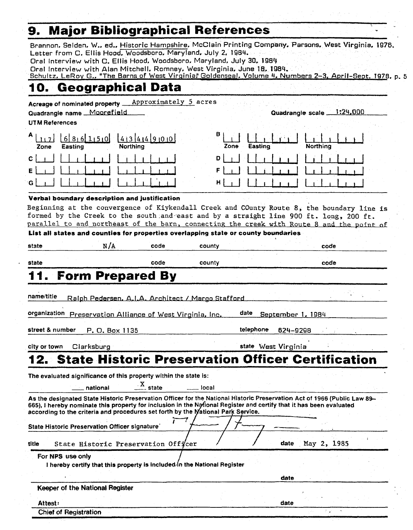# **9. Major Bibliographical References** '.

Brannon, Selden, W., ed.. Historic Hampshire. McClain Printing Company. Parsons. West Virginia. **1976.**  Letter from C. Ellis Hood, Woodsboro. Maryland. July **2, 198Y.** 

Oral Interview with **C.** Ellis Hood. Woodsboro, Maryland, **July** 30, 1989

Oral Interview with **Alan** Mitchell, Rornney, West Virginia, June **18. 1984.** 

Schultz. LeRoy G., "The Barns of West Virginia." Goldenseal. Volume 4. Numbers 2-3. April-Sept. **1978**, p. 5

# **10. Geographical Data**

Acreage of nominated property **Approximately** 5 **acres** 

Quadrangle name Mooref ield Quadrangle scale **1 :24.000** 

**UT M** References

| Zone               | Easting | 112 686150 4344900<br><b>Northing</b> | <b>B</b>  <br>$\lfloor \frac{1}{2} \rfloor$<br>Easting<br>Zone | .<br><b>Northing</b> |
|--------------------|---------|---------------------------------------|----------------------------------------------------------------|----------------------|
| $C \left  \right $ |         |                                       | $D \mid \cdot \cdot \cdot$                                     |                      |
| E                  |         |                                       |                                                                |                      |
| G                  |         |                                       |                                                                |                      |

#### Verbal boundary description and justification

**Beginning at the convergence of Kiykendall Creek and County Route 8, the boundary line is formed by the Creek to the south.and-east and by a straight line** 900 **ft. long,** 200 **ft.**  parallel to and northeast of the barn, connecting the creek with Route 8 and the point of

List **all** states and counties for properties overlapping state or county boundaries

| state      | N / A                                             | code | county | code |
|------------|---------------------------------------------------|------|--------|------|
| state      |                                                   | code | county | code |
|            | 11. Form Prepared By                              |      |        |      |
| name/title | Ralph Pedersen, A.I.A. Architect / Margo Stafford |      |        |      |
|            |                                                   |      |        |      |

organization Preservation Alliance of West Virginia, Inc. date September **1.** 1984

street & number p, 0, Box **1** 135 telephone **629-9298** .

city or town Clarksburg state West Virginia

# **12. State Historic Preservation Officer Certification**  - national **X** -- state - local

The evaluated significance of this property within the state is:

**I** 

As the designated State Historic Preservation Officer for the National Historic Preservation Act of 1966 (Public Law 89-665), I hereby nominate this property for inclusion in the National Register and certify that it has been evaluated according to the criteria and procedures set forth by the<br>State Historia Procentation Officer signature The evaluated significance of this property within the state is:<br>
The evaluated significance of this property within the state is:<br>
<u>mational X</u> state <u>inclusion</u><br>
As the designated State Historic Preservation Officer for

# State Historic Preservation Officer signature<br>title State Historic Preservation Officer date May 2, 1985

**For NPS use only** 

I hereby certify that this property is included in the National Register The Historic Preservation Officer<br>
Exacte Historic Preservation Officer<br>
For NPS use only<br>
I hereby certify that this property is included in the National Register<br>
Reeper of the National Register<br>
Caste

**Keeper of the National Register** 

**Attest:** date Chief **of Reaistration**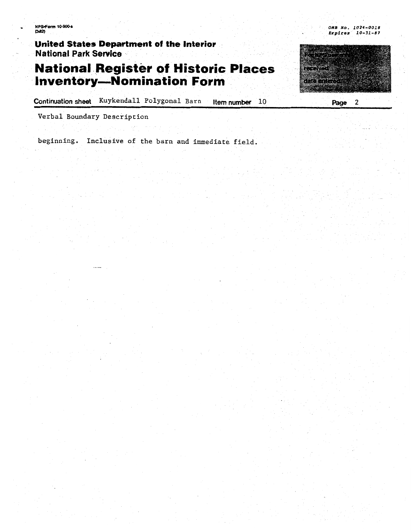**IPS Form 10-900 a**<br>3.82)

United States Department of the Interior **National Park Service** 

## **National Register of Historic Places Inventory-Nomination Form**

Continuation sheet Kuykendall Polygonal Barn Item number  $10$ 

**Verbal Boundary Description** 

**beginning. Inclusive of the barn and immediate field.** 



**OH8 NO. 2024-0018 Expires 10-31-87**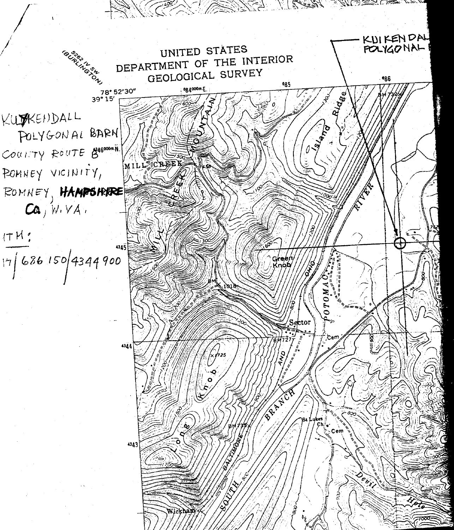